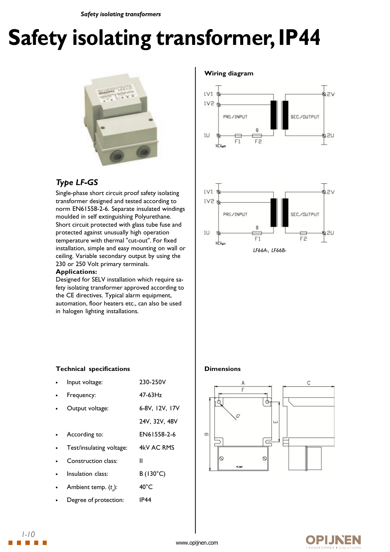# **Safety isolating transformer, IP44**



## *Type LF-GS*

Single-phase short circuit proof safety isolating transformer designed and tested according to norm EN61558-2-6. Separate insulated windings moulded in self extinguishing Polyurethane. Short circuit protected with glass tube fuse and protected against unusually high operation temperature with thermal "cut-out". For fixed installation, simple and easy mounting on wall or ceiling. Variable secondary output by using the 230 or 250 Volt primary terminals.

#### **Applications:**

Designed for SELV installation which require safety isolating transformer approved according to the CE directives. Typical alarm equipment, automation, floor heaters etc., can also be used in halogen lighting installations.

#### **Wiring diagram**





#### **Dimensions**



### **Technical specifications**

| Input voltage:           | 230-250V          |
|--------------------------|-------------------|
| Frequency:               | 47-63Hz           |
| Output voltage:          | 6-8V, 12V, 17V    |
|                          | 24V, 32V, 48V     |
| According to:            | EN61558-2-6       |
| Test/insulating voltage: | 4kV AC RMS        |
| Construction class:      | Ш                 |
| Insulation class:        | $B(130^{\circ}C)$ |
| Ambient temp. $(t_a)$ :  | $40^{\circ}$ C    |
| Degree of protection:    | <b>IP44</b>       |

230-250V



*1-10*